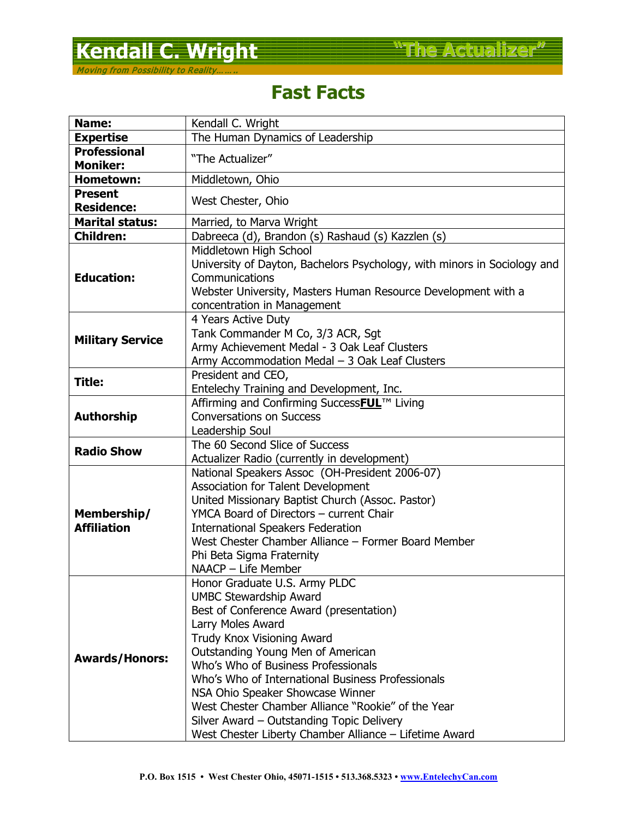## **Kendall C. Wright <b>C. Wright C. Wright The Actualizer**

## **Fast Facts**

| Name:                             | Kendall C. Wright                                                                                                                                                                                                                                                                                                                                                                                                                                                                                     |
|-----------------------------------|-------------------------------------------------------------------------------------------------------------------------------------------------------------------------------------------------------------------------------------------------------------------------------------------------------------------------------------------------------------------------------------------------------------------------------------------------------------------------------------------------------|
| <b>Expertise</b>                  | The Human Dynamics of Leadership                                                                                                                                                                                                                                                                                                                                                                                                                                                                      |
| <b>Professional</b>               | "The Actualizer"                                                                                                                                                                                                                                                                                                                                                                                                                                                                                      |
| <b>Moniker:</b>                   |                                                                                                                                                                                                                                                                                                                                                                                                                                                                                                       |
| <b>Hometown:</b>                  | Middletown, Ohio                                                                                                                                                                                                                                                                                                                                                                                                                                                                                      |
| <b>Present</b>                    | West Chester, Ohio                                                                                                                                                                                                                                                                                                                                                                                                                                                                                    |
| <b>Residence:</b>                 |                                                                                                                                                                                                                                                                                                                                                                                                                                                                                                       |
| <b>Marital status:</b>            | Married, to Marva Wright                                                                                                                                                                                                                                                                                                                                                                                                                                                                              |
| <b>Children:</b>                  | Dabreeca (d), Brandon (s) Rashaud (s) Kazzlen (s)                                                                                                                                                                                                                                                                                                                                                                                                                                                     |
| <b>Education:</b>                 | Middletown High School<br>University of Dayton, Bachelors Psychology, with minors in Sociology and<br>Communications<br>Webster University, Masters Human Resource Development with a<br>concentration in Management                                                                                                                                                                                                                                                                                  |
| <b>Military Service</b>           | 4 Years Active Duty<br>Tank Commander M Co, 3/3 ACR, Sgt<br>Army Achievement Medal - 3 Oak Leaf Clusters<br>Army Accommodation Medal - 3 Oak Leaf Clusters                                                                                                                                                                                                                                                                                                                                            |
| Title:                            | President and CEO,<br>Entelechy Training and Development, Inc.                                                                                                                                                                                                                                                                                                                                                                                                                                        |
| <b>Authorship</b>                 | Affirming and Confirming SuccessFUL™ Living<br><b>Conversations on Success</b><br>Leadership Soul                                                                                                                                                                                                                                                                                                                                                                                                     |
| <b>Radio Show</b>                 | The 60 Second Slice of Success<br>Actualizer Radio (currently in development)                                                                                                                                                                                                                                                                                                                                                                                                                         |
| Membership/<br><b>Affiliation</b> | National Speakers Assoc (OH-President 2006-07)<br>Association for Talent Development<br>United Missionary Baptist Church (Assoc. Pastor)<br>YMCA Board of Directors - current Chair<br><b>International Speakers Federation</b><br>West Chester Chamber Alliance - Former Board Member<br>Phi Beta Sigma Fraternity<br>NAACP - Life Member                                                                                                                                                            |
| <b>Awards/Honors:</b>             | Honor Graduate U.S. Army PLDC<br><b>UMBC Stewardship Award</b><br>Best of Conference Award (presentation)<br>Larry Moles Award<br><b>Trudy Knox Visioning Award</b><br>Outstanding Young Men of American<br>Who's Who of Business Professionals<br>Who's Who of International Business Professionals<br>NSA Ohio Speaker Showcase Winner<br>West Chester Chamber Alliance "Rookie" of the Year<br>Silver Award - Outstanding Topic Delivery<br>West Chester Liberty Chamber Alliance - Lifetime Award |